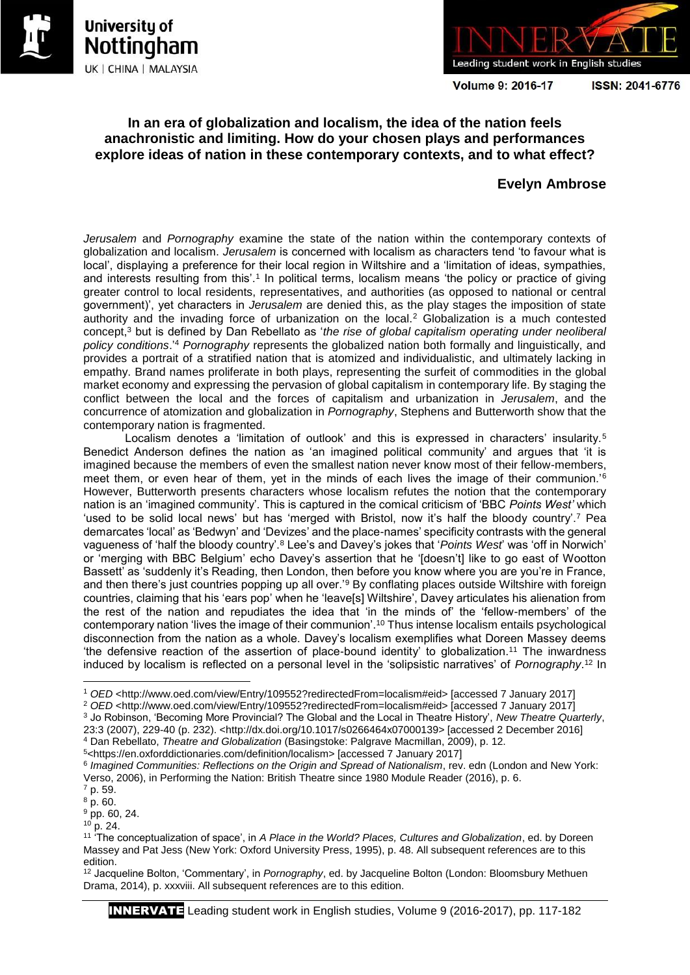





**Volume 9: 2016-17** 

ISSN: 2041-6776

## **In an era of globalization and localism, the idea of the nation feels anachronistic and limiting. How do your chosen plays and performances explore ideas of nation in these contemporary contexts, and to what effect?**

# **Evelyn Ambrose**

*Jerusalem* and *Pornography* examine the state of the nation within the contemporary contexts of globalization and localism. *Jerusalem* is concerned with localism as characters tend 'to favour what is local', displaying a preference for their local region in Wiltshire and a 'limitation of ideas, sympathies, and interests resulting from this'.<sup>1</sup> In political terms, localism means 'the policy or practice of giving greater control to local residents, representatives, and authorities (as opposed to national or central government)', yet characters in *Jerusalem* are denied this, as the play stages the imposition of state authority and the invading force of urbanization on the local.<sup>2</sup> Globalization is a much contested concept,<sup>3</sup> but is defined by Dan Rebellato as '*the rise of global capitalism operating under neoliberal policy conditions*.'<sup>4</sup> *Pornography* represents the globalized nation both formally and linguistically, and provides a portrait of a stratified nation that is atomized and individualistic, and ultimately lacking in empathy. Brand names proliferate in both plays, representing the surfeit of commodities in the global market economy and expressing the pervasion of global capitalism in contemporary life. By staging the conflict between the local and the forces of capitalism and urbanization in *Jerusalem*, and the concurrence of atomization and globalization in *Pornography*, Stephens and Butterworth show that the contemporary nation is fragmented.

Localism denotes a 'limitation of outlook' and this is expressed in characters' insularity.<sup>5</sup> Benedict Anderson defines the nation as 'an imagined political community' and argues that 'it is imagined because the members of even the smallest nation never know most of their fellow-members, meet them, or even hear of them, yet in the minds of each lives the image of their communion.<sup>'6</sup> However, Butterworth presents characters whose localism refutes the notion that the contemporary nation is an 'imagined community'. This is captured in the comical criticism of 'BBC *Points West'* which 'used to be solid local news' but has 'merged with Bristol, now it's half the bloody country'.<sup>7</sup> Pea demarcates 'local' as 'Bedwyn' and 'Devizes' and the place-names' specificity contrasts with the general vagueness of 'half the bloody country'.<sup>8</sup> Lee's and Davey's jokes that '*Points West*' was 'off in Norwich' or 'merging with BBC Belgium' echo Davey's assertion that he '[doesn't] like to go east of Wootton Bassett' as 'suddenly it's Reading, then London, then before you know where you are you're in France, and then there's just countries popping up all over.<sup>'9</sup> By conflating places outside Wiltshire with foreign countries, claiming that his 'ears pop' when he 'leave[s] Wiltshire', Davey articulates his alienation from the rest of the nation and repudiates the idea that 'in the minds of' the 'fellow-members' of the contemporary nation 'lives the image of their communion'.<sup>10</sup> Thus intense localism entails psychological disconnection from the nation as a whole. Davey's localism exemplifies what Doreen Massey deems 'the defensive reaction of the assertion of place-bound identity' to globalization.<sup>11</sup> The inwardness induced by localism is reflected on a personal level in the 'solipsistic narratives' of *Pornography*. <sup>12</sup> In

 $10$  p. 24.

**<sup>.</sup>** <sup>1</sup> *OED* <http://www.oed.com/view/Entry/109552?redirectedFrom=localism#eid> [accessed 7 January 2017]

<sup>&</sup>lt;sup>2</sup> OED <http://www.oed.com/view/Entry/109552?redirectedFrom=localism#eid> [accessed 7 January 2017]

<sup>3</sup> Jo Robinson, 'Becoming More Provincial? The Global and the Local in Theatre History', *New Theatre Quarterly*,

<sup>23:3 (2007), 229-40 (</sup>p. 232). <http://dx.doi.org/10.1017/s0266464x07000139> [accessed 2 December 2016] <sup>4</sup> Dan Rebellato, *Theatre and Globalization* (Basingstoke: Palgrave Macmillan, 2009), p. 12.

<sup>5</sup><https://en.oxforddictionaries.com/definition/localism> [accessed 7 January 2017]

<sup>6</sup> *Imagined Communities: Reflections on the Origin and Spread of Nationalism*, rev. edn (London and New York: Verso, 2006), in Performing the Nation: British Theatre since 1980 Module Reader (2016), p. 6.

<sup>7</sup> p. 59.

 $8 p. 60.$ 

<sup>9</sup> pp. 60, 24.

<sup>11</sup> 'The conceptualization of space', in *A Place in the World? Places, Cultures and Globalization*, ed. by Doreen Massey and Pat Jess (New York: Oxford University Press, 1995), p. 48. All subsequent references are to this edition.

<sup>12</sup> Jacqueline Bolton, 'Commentary', in *Pornography*, ed. by Jacqueline Bolton (London: Bloomsbury Methuen Drama, 2014), p. xxxviii. All subsequent references are to this edition.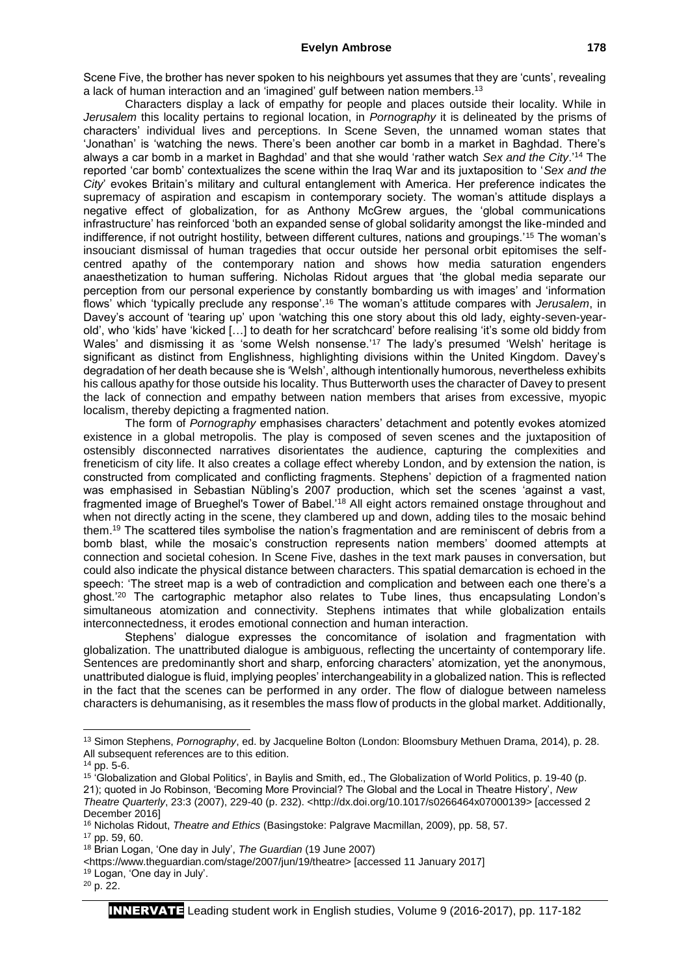Scene Five, the brother has never spoken to his neighbours yet assumes that they are 'cunts', revealing a lack of human interaction and an 'imagined' gulf between nation members.<sup>13</sup>

Characters display a lack of empathy for people and places outside their locality. While in *Jerusalem* this locality pertains to regional location, in *Pornography* it is delineated by the prisms of characters' individual lives and perceptions. In Scene Seven, the unnamed woman states that 'Jonathan' is 'watching the news. There's been another car bomb in a market in Baghdad. There's always a car bomb in a market in Baghdad' and that she would 'rather watch *Sex and the City*.'<sup>14</sup> The reported 'car bomb' contextualizes the scene within the Iraq War and its juxtaposition to '*Sex and the City*' evokes Britain's military and cultural entanglement with America. Her preference indicates the supremacy of aspiration and escapism in contemporary society. The woman's attitude displays a negative effect of globalization, for as Anthony McGrew argues, the 'global communications infrastructure' has reinforced 'both an expanded sense of global solidarity amongst the like-minded and indifference, if not outright hostility, between different cultures, nations and groupings.'<sup>15</sup> The woman's insouciant dismissal of human tragedies that occur outside her personal orbit epitomises the selfcentred apathy of the contemporary nation and shows how media saturation engenders anaesthetization to human suffering. Nicholas Ridout argues that 'the global media separate our perception from our personal experience by constantly bombarding us with images' and 'information flows' which 'typically preclude any response'.<sup>16</sup> The woman's attitude compares with *Jerusalem*, in Davey's account of 'tearing up' upon 'watching this one story about this old lady, eighty-seven-yearold', who 'kids' have 'kicked […] to death for her scratchcard' before realising 'it's some old biddy from Wales' and dismissing it as 'some Welsh nonsense.<sup>'17</sup> The lady's presumed 'Welsh' heritage is significant as distinct from Englishness, highlighting divisions within the United Kingdom. Davey's degradation of her death because she is 'Welsh', although intentionally humorous, nevertheless exhibits his callous apathy for those outside his locality. Thus Butterworth uses the character of Davey to present the lack of connection and empathy between nation members that arises from excessive, myopic localism, thereby depicting a fragmented nation.

The form of *Pornography* emphasises characters' detachment and potently evokes atomized existence in a global metropolis. The play is composed of seven scenes and the juxtaposition of ostensibly disconnected narratives disorientates the audience, capturing the complexities and freneticism of city life. It also creates a collage effect whereby London, and by extension the nation, is constructed from complicated and conflicting fragments. Stephens' depiction of a fragmented nation was emphasised in Sebastian Nübling's 2007 production, which set the scenes 'against a vast, fragmented image of Brueghel's Tower of Babel.'<sup>18</sup> All eight actors remained onstage throughout and when not directly acting in the scene, they clambered up and down, adding tiles to the mosaic behind them.<sup>19</sup> The scattered tiles symbolise the nation's fragmentation and are reminiscent of debris from a bomb blast, while the mosaic's construction represents nation members' doomed attempts at connection and societal cohesion. In Scene Five, dashes in the text mark pauses in conversation, but could also indicate the physical distance between characters. This spatial demarcation is echoed in the speech: 'The street map is a web of contradiction and complication and between each one there's a ghost.'<sup>20</sup> The cartographic metaphor also relates to Tube lines, thus encapsulating London's simultaneous atomization and connectivity. Stephens intimates that while globalization entails interconnectedness, it erodes emotional connection and human interaction.

Stephens' dialogue expresses the concomitance of isolation and fragmentation with globalization. The unattributed dialogue is ambiguous, reflecting the uncertainty of contemporary life. Sentences are predominantly short and sharp, enforcing characters' atomization, yet the anonymous, unattributed dialogue is fluid, implying peoples' interchangeability in a globalized nation. This is reflected in the fact that the scenes can be performed in any order. The flow of dialogue between nameless characters is dehumanising, as it resembles the mass flow of products in the global market. Additionally,

 $\overline{a}$ 

<sup>13</sup> Simon Stephens, *Pornography*, ed. by Jacqueline Bolton (London: Bloomsbury Methuen Drama, 2014), p. 28. All subsequent references are to this edition.

<sup>14</sup> pp. 5-6.

<sup>15</sup> 'Globalization and Global Politics', in Baylis and Smith, ed., The Globalization of World Politics, p. 19-40 (p.

<sup>21);</sup> quoted in Jo Robinson, 'Becoming More Provincial? The Global and the Local in Theatre History', *New Theatre Quarterly*, 23:3 (2007), 229-40 (p. 232). <http://dx.doi.org/10.1017/s0266464x07000139> [accessed 2 December 2016]

<sup>16</sup> Nicholas Ridout, *Theatre and Ethics* (Basingstoke: Palgrave Macmillan, 2009), pp. 58, 57.

<sup>17</sup> pp. 59, 60.

<sup>18</sup> Brian Logan, 'One day in July', *The Guardian* (19 June 2007)

<sup>&</sup>lt;https://www.theguardian.com/stage/2007/jun/19/theatre> [accessed 11 January 2017]

<sup>19</sup> Logan, 'One day in July'.

<sup>20</sup> p. 22.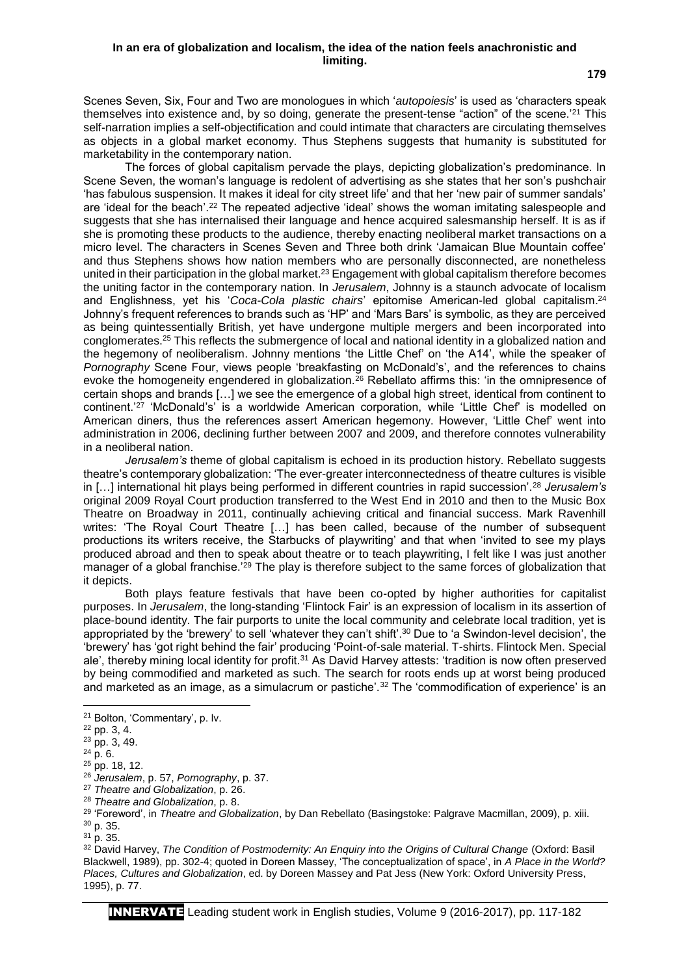Scenes Seven, Six, Four and Two are monologues in which '*autopoiesis*' is used as 'characters speak themselves into existence and, by so doing, generate the present-tense "action" of the scene.'<sup>21</sup> This self-narration implies a self-objectification and could intimate that characters are circulating themselves as objects in a global market economy. Thus Stephens suggests that humanity is substituted for marketability in the contemporary nation.

The forces of global capitalism pervade the plays, depicting globalization's predominance. In Scene Seven, the woman's language is redolent of advertising as she states that her son's pushchair 'has fabulous suspension. It makes it ideal for city street life' and that her 'new pair of summer sandals' are 'ideal for the beach'.<sup>22</sup> The repeated adjective 'ideal' shows the woman imitating salespeople and suggests that she has internalised their language and hence acquired salesmanship herself. It is as if she is promoting these products to the audience, thereby enacting neoliberal market transactions on a micro level. The characters in Scenes Seven and Three both drink 'Jamaican Blue Mountain coffee' and thus Stephens shows how nation members who are personally disconnected, are nonetheless united in their participation in the global market.<sup>23</sup> Engagement with global capitalism therefore becomes the uniting factor in the contemporary nation. In *Jerusalem*, Johnny is a staunch advocate of localism and Englishness, yet his '*Coca-Cola plastic chairs*' epitomise American-led global capitalism.<sup>24</sup> Johnny's frequent references to brands such as 'HP' and 'Mars Bars' is symbolic, as they are perceived as being quintessentially British, yet have undergone multiple mergers and been incorporated into conglomerates.<sup>25</sup> This reflects the submergence of local and national identity in a globalized nation and the hegemony of neoliberalism. Johnny mentions 'the Little Chef' on 'the A14', while the speaker of *Pornography* Scene Four, views people 'breakfasting on McDonald's', and the references to chains evoke the homogeneity engendered in globalization.<sup>26</sup> Rebellato affirms this: 'in the omnipresence of certain shops and brands […] we see the emergence of a global high street, identical from continent to continent.'<sup>27</sup> 'McDonald's' is a worldwide American corporation, while 'Little Chef' is modelled on American diners, thus the references assert American hegemony. However, 'Little Chef' went into administration in 2006, declining further between 2007 and 2009, and therefore connotes vulnerability in a neoliberal nation.

*Jerusalem's* theme of global capitalism is echoed in its production history. Rebellato suggests theatre's contemporary globalization: 'The ever-greater interconnectedness of theatre cultures is visible in […] international hit plays being performed in different countries in rapid succession'.<sup>28</sup> *Jerusalem's*  original 2009 Royal Court production transferred to the West End in 2010 and then to the Music Box Theatre on Broadway in 2011, continually achieving critical and financial success. Mark Ravenhill writes: 'The Royal Court Theatre […] has been called, because of the number of subsequent productions its writers receive, the Starbucks of playwriting' and that when 'invited to see my plays produced abroad and then to speak about theatre or to teach playwriting, I felt like I was just another manager of a global franchise.'<sup>29</sup> The play is therefore subject to the same forces of globalization that it depicts.

Both plays feature festivals that have been co-opted by higher authorities for capitalist purposes. In *Jerusalem*, the long-standing 'Flintock Fair' is an expression of localism in its assertion of place-bound identity. The fair purports to unite the local community and celebrate local tradition, yet is appropriated by the 'brewery' to sell 'whatever they can't shift'.<sup>30</sup> Due to 'a Swindon-level decision', the 'brewery' has 'got right behind the fair' producing 'Point-of-sale material. T-shirts. Flintock Men. Special ale', thereby mining local identity for profit.<sup>31</sup> As David Harvey attests: 'tradition is now often preserved by being commodified and marketed as such. The search for roots ends up at worst being produced and marketed as an image, as a simulacrum or pastiche'.<sup>32</sup> The 'commodification of experience' is an

1

<sup>32</sup> David Harvey, *The Condition of Postmodernity: An Enquiry into the Origins of Cultural Change (Oxford: Basil* Blackwell, 1989), pp. 302-4; quoted in Doreen Massey, 'The conceptualization of space', in *A Place in the World? Places, Cultures and Globalization*, ed. by Doreen Massey and Pat Jess (New York: Oxford University Press, 1995), p. 77.

INNERVATE Leading student work in English studies, Volume 9 (2016-2017), pp. 117-182

<sup>21</sup> Bolton, 'Commentary', p. lv.

 $^{22}$  pp. 3, 4.

 $23$  pp. 3, 49.

 $24$  p. 6.

<sup>25</sup> pp. 18, 12.

<sup>26</sup> *Jerusalem*, p. 57, *Pornography*, p. 37.

<sup>27</sup> *Theatre and Globalization*, p. 26.

<sup>28</sup> *Theatre and Globalization*, p. 8.

<sup>29</sup> 'Foreword', in *Theatre and Globalization*, by Dan Rebellato (Basingstoke: Palgrave Macmillan, 2009), p. xiii.

 $30$  p. 35.

<sup>31</sup> p. 35.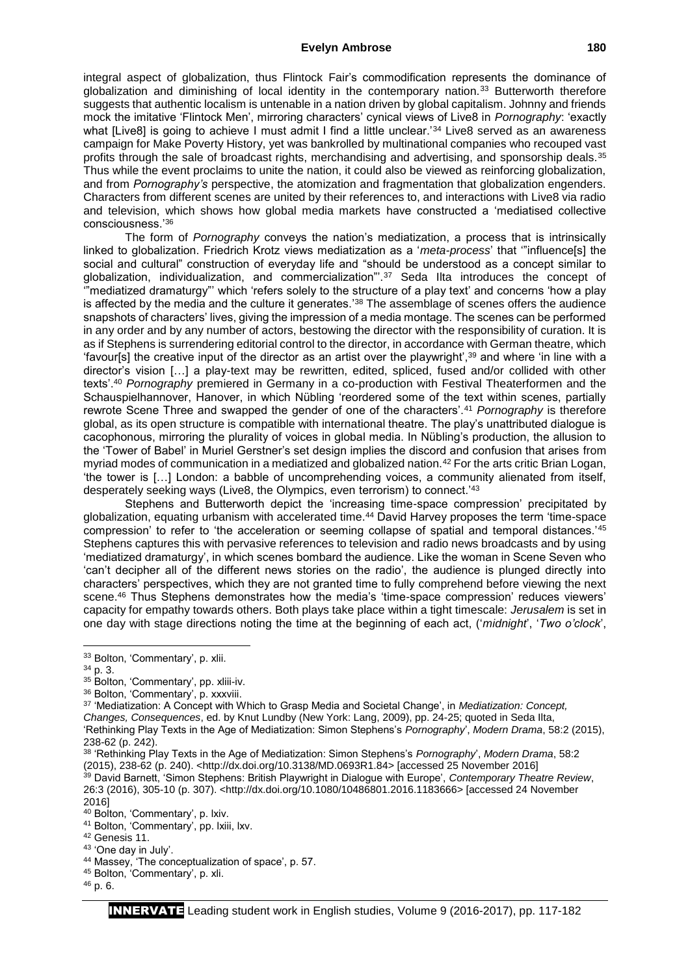#### **Evelyn Ambrose 180**

integral aspect of globalization, thus Flintock Fair's commodification represents the dominance of globalization and diminishing of local identity in the contemporary nation.<sup>33</sup> Butterworth therefore suggests that authentic localism is untenable in a nation driven by global capitalism. Johnny and friends mock the imitative 'Flintock Men', mirroring characters' cynical views of Live8 in *Pornography*: 'exactly what [Live8] is going to achieve I must admit I find a little unclear.'<sup>34</sup> Live8 served as an awareness campaign for Make Poverty History, yet was bankrolled by multinational companies who recouped vast profits through the sale of broadcast rights, merchandising and advertising, and sponsorship deals.<sup>35</sup> Thus while the event proclaims to unite the nation, it could also be viewed as reinforcing globalization, and from *Pornography's* perspective, the atomization and fragmentation that globalization engenders. Characters from different scenes are united by their references to, and interactions with Live8 via radio and television, which shows how global media markets have constructed a 'mediatised collective consciousness.'<sup>36</sup>

The form of *Pornography* conveys the nation's mediatization, a process that is intrinsically linked to globalization. Friedrich Krotz views mediatization as a '*meta-process*' that "influence[s] the social and cultural" construction of everyday life and "should be understood as a concept similar to globalization, individualization, and commercialization"<sup>37</sup> Seda IIta introduces the concept of '"mediatized dramaturgy"' which 'refers solely to the structure of a play text' and concerns 'how a play is affected by the media and the culture it generates.'<sup>38</sup> The assemblage of scenes offers the audience snapshots of characters' lives, giving the impression of a media montage. The scenes can be performed in any order and by any number of actors, bestowing the director with the responsibility of curation. It is as if Stephens is surrendering editorial control to the director, in accordance with German theatre, which 'favour[s] the creative input of the director as an artist over the playwright',<sup>39</sup> and where 'in line with a director's vision […] a play-text may be rewritten, edited, spliced, fused and/or collided with other texts'.<sup>40</sup> *Pornography* premiered in Germany in a co-production with Festival Theaterformen and the Schauspielhannover, Hanover, in which Nübling 'reordered some of the text within scenes, partially rewrote Scene Three and swapped the gender of one of the characters'.<sup>41</sup> *Pornography* is therefore global, as its open structure is compatible with international theatre. The play's unattributed dialogue is cacophonous, mirroring the plurality of voices in global media. In Nübling's production, the allusion to the 'Tower of Babel' in Muriel Gerstner's set design implies the discord and confusion that arises from myriad modes of communication in a mediatized and globalized nation.<sup>42</sup> For the arts critic Brian Logan, 'the tower is […] London: a babble of uncomprehending voices, a community alienated from itself, desperately seeking ways (Live8, the Olympics, even terrorism) to connect.'<sup>43</sup>

Stephens and Butterworth depict the 'increasing time-space compression' precipitated by globalization, equating urbanism with accelerated time.<sup>44</sup> David Harvey proposes the term 'time-space compression' to refer to 'the acceleration or seeming collapse of spatial and temporal distances.'45 Stephens captures this with pervasive references to television and radio news broadcasts and by using 'mediatized dramaturgy', in which scenes bombard the audience. Like the woman in Scene Seven who 'can't decipher all of the different news stories on the radio', the audience is plunged directly into characters' perspectives, which they are not granted time to fully comprehend before viewing the next scene.<sup>46</sup> Thus Stephens demonstrates how the media's 'time-space compression' reduces viewers' capacity for empathy towards others. Both plays take place within a tight timescale: *Jerusalem* is set in one day with stage directions noting the time at the beginning of each act, ('*midnight*', '*Two o'clock*',

1

<sup>33</sup> Bolton, 'Commentary', p. xlii.

<sup>34</sup> p. 3.

<sup>35</sup> Bolton, 'Commentary', pp. xliii-iv.

<sup>36</sup> Bolton, 'Commentary', p. xxxviii.

<sup>37</sup> 'Mediatization: A Concept with Which to Grasp Media and Societal Change', in *Mediatization: Concept, Changes, Consequences*, ed. by Knut Lundby (New York: Lang, 2009), pp. 24-25; quoted in Seda Ilta, 'Rethinking Play Texts in the Age of Mediatization: Simon Stephens's *Pornography*', *Modern Drama*, 58:2 (2015), 238-62 (p. 242).

<sup>&</sup>lt;sup>38</sup> 'Rethinking Play Texts in the Age of Mediatization: Simon Stephens's Pornography', Modern Drama, 58:2 (2015), 238-62 (p. 240). <http://dx.doi.org/10.3138/MD.0693R1.84> [accessed 25 November 2016] <sup>39</sup> David Barnett, 'Simon Stephens: British Playwright in Dialogue with Europe', *Contemporary Theatre Review*, 26:3 (2016), 305-10 (p. 307). <http://dx.doi.org/10.1080/10486801.2016.1183666> [accessed 24 November 2016]

<sup>40</sup> Bolton, 'Commentary', p. lxiv.

<sup>41</sup> Bolton, 'Commentary', pp. Ixiii, Ixv.

<sup>42</sup> Genesis 11.

<sup>43</sup> 'One day in July'.

<sup>44</sup> Massey, 'The conceptualization of space', p. 57.

<sup>45</sup> Bolton, 'Commentary', p. xli.

<sup>46</sup> p. 6.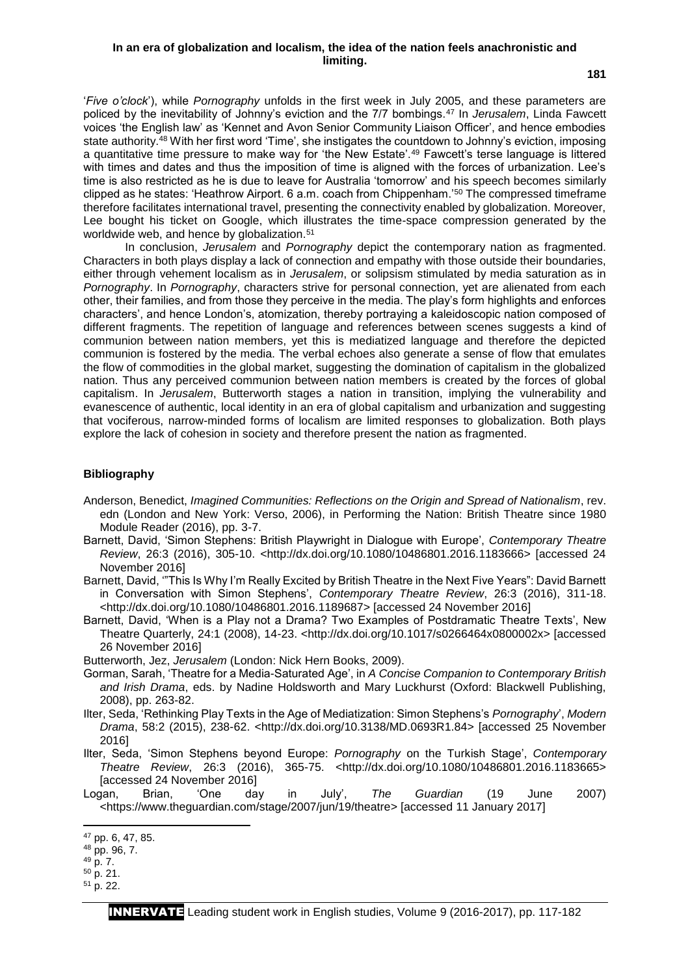### **In an era of globalization and localism, the idea of the nation feels anachronistic and limiting.**

**181**

'*Five o'clock*'), while *Pornography* unfolds in the first week in July 2005, and these parameters are policed by the inevitability of Johnny's eviction and the 7/7 bombings.<sup>47</sup> In *Jerusalem*, Linda Fawcett voices 'the English law' as 'Kennet and Avon Senior Community Liaison Officer', and hence embodies state authority.<sup>48</sup> With her first word 'Time', she instigates the countdown to Johnny's eviction, imposing a quantitative time pressure to make way for 'the New Estate'.<sup>49</sup> Fawcett's terse language is littered with times and dates and thus the imposition of time is aligned with the forces of urbanization. Lee's time is also restricted as he is due to leave for Australia 'tomorrow' and his speech becomes similarly clipped as he states: 'Heathrow Airport. 6 a.m. coach from Chippenham.'<sup>50</sup> The compressed timeframe therefore facilitates international travel, presenting the connectivity enabled by globalization. Moreover, Lee bought his ticket on Google, which illustrates the time-space compression generated by the worldwide web, and hence by globalization.<sup>51</sup>

In conclusion, *Jerusalem* and *Pornography* depict the contemporary nation as fragmented. Characters in both plays display a lack of connection and empathy with those outside their boundaries, either through vehement localism as in *Jerusalem*, or solipsism stimulated by media saturation as in *Pornography*. In *Pornography*, characters strive for personal connection, yet are alienated from each other, their families, and from those they perceive in the media. The play's form highlights and enforces characters', and hence London's, atomization, thereby portraying a kaleidoscopic nation composed of different fragments. The repetition of language and references between scenes suggests a kind of communion between nation members, yet this is mediatized language and therefore the depicted communion is fostered by the media. The verbal echoes also generate a sense of flow that emulates the flow of commodities in the global market, suggesting the domination of capitalism in the globalized nation. Thus any perceived communion between nation members is created by the forces of global capitalism. In *Jerusalem*, Butterworth stages a nation in transition, implying the vulnerability and evanescence of authentic, local identity in an era of global capitalism and urbanization and suggesting that vociferous, narrow-minded forms of localism are limited responses to globalization. Both plays explore the lack of cohesion in society and therefore present the nation as fragmented.

### **Bibliography**

- Anderson, Benedict, *Imagined Communities: Reflections on the Origin and Spread of Nationalism*, rev. edn (London and New York: Verso, 2006), in Performing the Nation: British Theatre since 1980 Module Reader (2016), pp. 3-7.
- Barnett, David, 'Simon Stephens: British Playwright in Dialogue with Europe', *Contemporary Theatre Review*, 26:3 (2016), 305-10. <http://dx.doi.org/10.1080/10486801.2016.1183666> [accessed 24 November 2016]
- Barnett, David, '"This Is Why I'm Really Excited by British Theatre in the Next Five Years": David Barnett in Conversation with Simon Stephens', *Contemporary Theatre Review*, 26:3 (2016), 311-18. <http://dx.doi.org/10.1080/10486801.2016.1189687> [accessed 24 November 2016]
- Barnett, David, 'When is a Play not a Drama? Two Examples of Postdramatic Theatre Texts', New Theatre Quarterly, 24:1 (2008), 14-23. <http://dx.doi.org/10.1017/s0266464x0800002x> [accessed 26 November 2016]
- Butterworth, Jez, *Jerusalem* (London: Nick Hern Books, 2009).
- Gorman, Sarah, 'Theatre for a Media-Saturated Age', in *A Concise Companion to Contemporary British and Irish Drama*, eds. by Nadine Holdsworth and Mary Luckhurst (Oxford: Blackwell Publishing, 2008), pp. 263-82.
- Ilter, Seda, 'Rethinking Play Texts in the Age of Mediatization: Simon Stephens's *Pornography*', *Modern Drama*, 58:2 (2015), 238-62. <http://dx.doi.org/10.3138/MD.0693R1.84> [accessed 25 November 2016]
- Ilter, Seda, 'Simon Stephens beyond Europe: *Pornography* on the Turkish Stage', *Contemporary Theatre Review*, 26:3 (2016), 365-75. <http://dx.doi.org/10.1080/10486801.2016.1183665> [accessed 24 November 2016]
- Logan, Brian, 'One day in July', *The Guardian* (19 June 2007) <https://www.theguardian.com/stage/2007/jun/19/theatre> [accessed 11 January 2017]

1

<sup>47</sup> pp. 6, 47, 85.

<sup>48</sup> pp. 96, 7.

<sup>49</sup> p. 7.

<sup>50</sup> p. 21.

<sup>51</sup> p. 22.